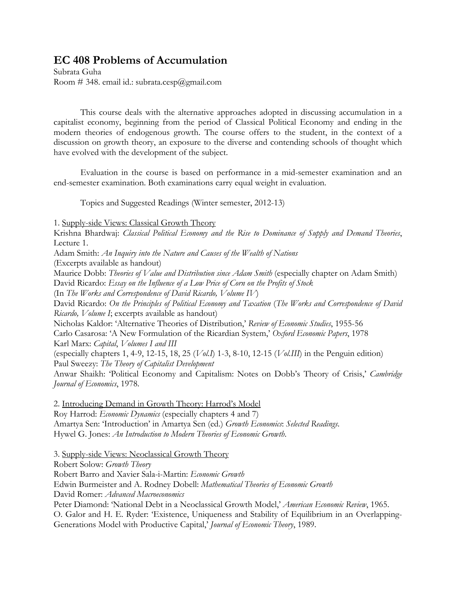## **EC 408 Problems of Accumulation**

Subrata Guha Room # 348. email id.: subrata.cesp@gmail.com

This course deals with the alternative approaches adopted in discussing accumulation in a capitalist economy, beginning from the period of Classical Political Economy and ending in the modern theories of endogenous growth. The course offers to the student, in the context of a discussion on growth theory, an exposure to the diverse and contending schools of thought which have evolved with the development of the subject.

Evaluation in the course is based on performance in a mid-semester examination and an end-semester examination. Both examinations carry equal weight in evaluation.

Topics and Suggested Readings (Winter semester, 2012-13)

1. Supply-side Views: Classical Growth Theory

Krishna Bhardwaj: *Classical Political Economy and the Rise to Dominance of Supply and Demand Theories*, Lecture 1.

Adam Smith: *An Inquiry into the Nature and Causes of the Wealth of Nations*

(Excerpts available as handout)

Maurice Dobb: *Theories of Value and Distribution since Adam Smith* (especially chapter on Adam Smith) David Ricardo: *Essay on the Influence of a Low Price of Corn on the Profits of Stock*

(In *The Works and Correspondence of David Ricardo, Volume IV*)

David Ricardo: *On the Principles of Political Economy and Taxation* (*The Works and Correspondence of David Ricardo, Volume I*; excerpts available as handout)

Nicholas Kaldor: 'Alternative Theories of Distribution,' *Review of Economic Studies*, 1955-56 Carlo Casarosa: 'A New Formulation of the Ricardian System,' *Oxford Economic Papers*, 1978 Karl Marx: *Capital*, *Volumes I and III* 

(especially chapters 1, 4-9, 12-15, 18, 25 (*Vol.I*) 1-3, 8-10, 12-15 (*Vol.III*) in the Penguin edition) Paul Sweezy: *The Theory of Capitalist Development* 

Anwar Shaikh: 'Political Economy and Capitalism: Notes on Dobb's Theory of Crisis,' *Cambridge Journal of Economics*, 1978.

2. Introducing Demand in Growth Theory: Harrod's Model Roy Harrod: *Economic Dynamics* (especially chapters 4 and 7) Amartya Sen: 'Introduction' in Amartya Sen (ed.) *Growth Economics*: *Selected Readings*. Hywel G. Jones: *An Introduction to Modern Theories of Economic Growth*.

3. Supply-side Views: Neoclassical Growth Theory

Robert Solow: *Growth Theory*

Robert Barro and Xavier Sala-i-Martin: *Economic Growth* 

Edwin Burmeister and A. Rodney Dobell: *Mathematical Theories of Economic Growth*

David Romer: *Advanced Macroeconomics*

Peter Diamond: 'National Debt in a Neoclassical Growth Model,' *American Economic Review*, 1965. O. Galor and H. E. Ryder: 'Existence, Uniqueness and Stability of Equilibrium in an Overlapping-Generations Model with Productive Capital,' *Journal of Economic Theory*, 1989.